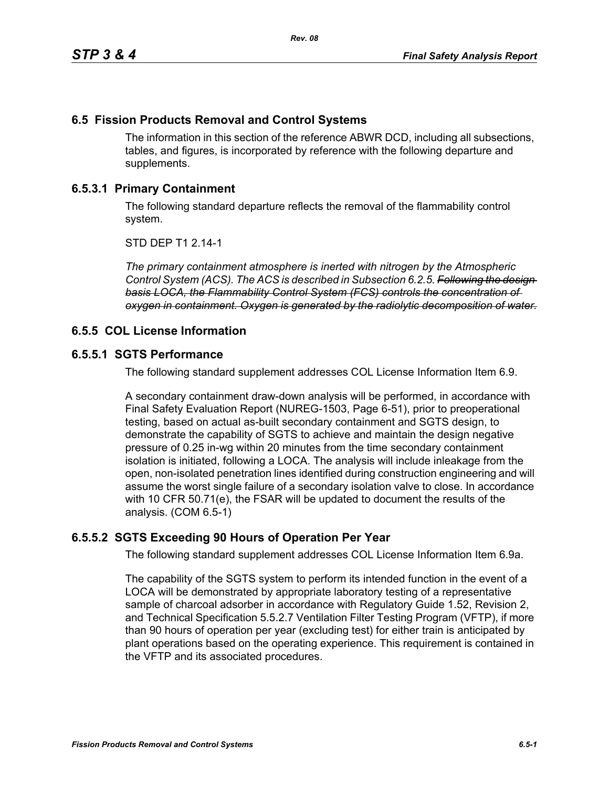# **6.5 Fission Products Removal and Control Systems**

The information in this section of the reference ABWR DCD, including all subsections, tables, and figures, is incorporated by reference with the following departure and supplements.

# **6.5.3.1 Primary Containment**

The following standard departure reflects the removal of the flammability control system.

STD DEP T1 2.14-1

*The primary containment atmosphere is inerted with nitrogen by the Atmospheric Control System (ACS). The ACS is described in Subsection 6.2.5. Following the design basis LOCA, the Flammability Control System (FCS) controls the concentration of oxygen in containment. Oxygen is generated by the radiolytic decomposition of water.*

### **6.5.5 COL License Information**

#### **6.5.5.1 SGTS Performance**

The following standard supplement addresses COL License Information Item 6.9.

A secondary containment draw-down analysis will be performed, in accordance with Final Safety Evaluation Report (NUREG-1503, Page 6-51), prior to preoperational testing, based on actual as-built secondary containment and SGTS design, to demonstrate the capability of SGTS to achieve and maintain the design negative pressure of 0.25 in-wg within 20 minutes from the time secondary containment isolation is initiated, following a LOCA. The analysis will include inleakage from the open, non-isolated penetration lines identified during construction engineering and will assume the worst single failure of a secondary isolation valve to close. In accordance with 10 CFR 50.71(e), the FSAR will be updated to document the results of the analysis. (COM 6.5-1)

# **6.5.5.2 SGTS Exceeding 90 Hours of Operation Per Year**

The following standard supplement addresses COL License Information Item 6.9a.

The capability of the SGTS system to perform its intended function in the event of a LOCA will be demonstrated by appropriate laboratory testing of a representative sample of charcoal adsorber in accordance with Regulatory Guide 1.52, Revision 2, and Technical Specification 5.5.2.7 Ventilation Filter Testing Program (VFTP), if more than 90 hours of operation per year (excluding test) for either train is anticipated by plant operations based on the operating experience. This requirement is contained in the VFTP and its associated procedures.